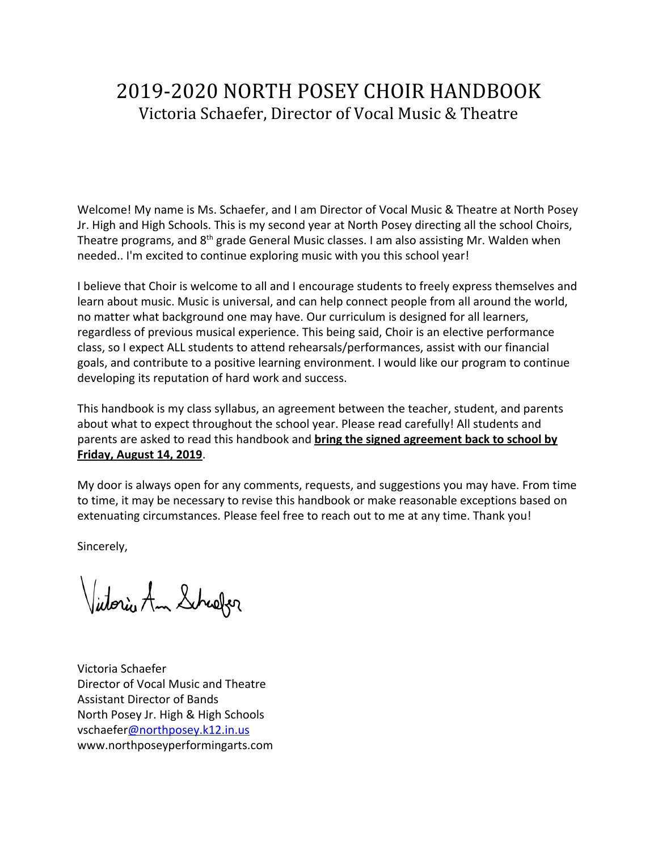# 2019-2020 NORTH POSEY CHOIR HANDBOOK Victoria Schaefer, Director of Vocal Music & Theatre

Welcome! My name is Ms. Schaefer, and I am Director of Vocal Music & Theatre at North Posey Jr. High and High Schools. This is my second year at North Posey directing all the school Choirs, Theatre programs, and 8<sup>th</sup> grade General Music classes. I am also assisting Mr. Walden when needed.. I'm excited to continue exploring music with you this school year!

I believe that Choir is welcome to all and I encourage students to freely express themselves and learn about music. Music is universal, and can help connect people from all around the world, no matter what background one may have. Our curriculum is designed for all learners, regardless of previous musical experience. This being said, Choir is an elective performance class, so I expect ALL students to attend rehearsals/performances, assist with our financial goals, and contribute to a positive learning environment. I would like our program to continue developing its reputation of hard work and success.

This handbook is my class syllabus, an agreement between the teacher, student, and parents about what to expect throughout the school year. Please read carefully! All students and parents are asked to read this handbook and **bring the signed agreement back to school by Friday, August 14, 2019**.

My door is always open for any comments, requests, and suggestions you may have. From time to time, it may be necessary to revise this handbook or make reasonable exceptions based on extenuating circumstances. Please feel free to reach out to me at any time. Thank you!

Sincerely,

Victoria Am Schaefer

Victoria Schaefer Director of Vocal Music and Theatre Assistant Director of Bands North Posey Jr. High & High Schools vschaefer[@northposey.k12.in.us](mailto:rknight@northposey.k12.in.us) www.northposeyperformingarts.com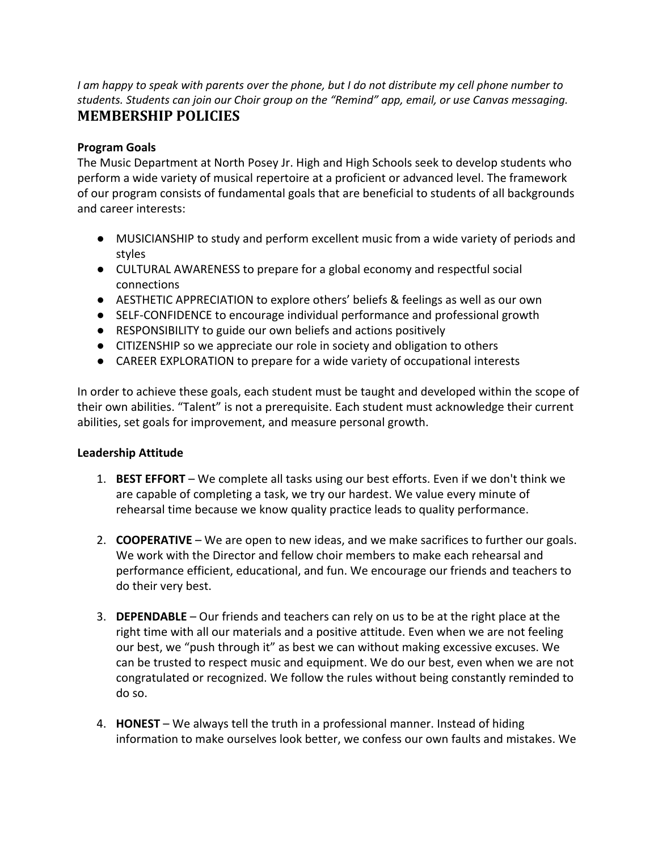I am happy to speak with parents over the phone, but I do not distribute my cell phone number to *students. Students can join our Choir group on the "Remind" app, email, or use Canvas messaging.* **MEMBERSHIP POLICIES**

#### **Program Goals**

The Music Department at North Posey Jr. High and High Schools seek to develop students who perform a wide variety of musical repertoire at a proficient or advanced level. The framework of our program consists of fundamental goals that are beneficial to students of all backgrounds and career interests:

- MUSICIANSHIP to study and perform excellent music from a wide variety of periods and styles
- CULTURAL AWARENESS to prepare for a global economy and respectful social connections
- AESTHETIC APPRECIATION to explore others' beliefs & feelings as well as our own
- SELF-CONFIDENCE to encourage individual performance and professional growth
- RESPONSIBILITY to guide our own beliefs and actions positively
- CITIZENSHIP so we appreciate our role in society and obligation to others
- CAREER EXPLORATION to prepare for a wide variety of occupational interests

In order to achieve these goals, each student must be taught and developed within the scope of their own abilities. "Talent" is not a prerequisite. Each student must acknowledge their current abilities, set goals for improvement, and measure personal growth.

#### **Leadership Attitude**

- 1. **BEST EFFORT** We complete all tasks using our best efforts. Even if we don't think we are capable of completing a task, we try our hardest. We value every minute of rehearsal time because we know quality practice leads to quality performance.
- 2. **COOPERATIVE** We are open to new ideas, and we make sacrifices to further our goals. We work with the Director and fellow choir members to make each rehearsal and performance efficient, educational, and fun. We encourage our friends and teachers to do their very best.
- 3. **DEPENDABLE** Our friends and teachers can rely on us to be at the right place at the right time with all our materials and a positive attitude. Even when we are not feeling our best, we "push through it" as best we can without making excessive excuses. We can be trusted to respect music and equipment. We do our best, even when we are not congratulated or recognized. We follow the rules without being constantly reminded to do so.
- 4. **HONEST** We always tell the truth in a professional manner. Instead of hiding information to make ourselves look better, we confess our own faults and mistakes. We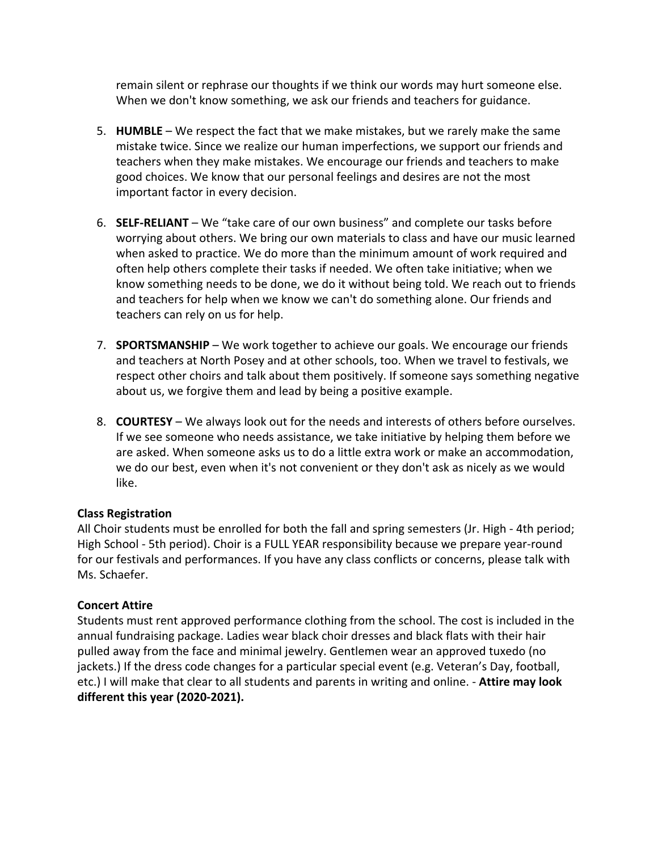remain silent or rephrase our thoughts if we think our words may hurt someone else. When we don't know something, we ask our friends and teachers for guidance.

- 5. **HUMBLE** We respect the fact that we make mistakes, but we rarely make the same mistake twice. Since we realize our human imperfections, we support our friends and teachers when they make mistakes. We encourage our friends and teachers to make good choices. We know that our personal feelings and desires are not the most important factor in every decision.
- 6. **SELF-RELIANT**  We "take care of our own business" and complete our tasks before worrying about others. We bring our own materials to class and have our music learned when asked to practice. We do more than the minimum amount of work required and often help others complete their tasks if needed. We often take initiative; when we know something needs to be done, we do it without being told. We reach out to friends and teachers for help when we know we can't do something alone. Our friends and teachers can rely on us for help.
- 7. **SPORTSMANSHIP** We work together to achieve our goals. We encourage our friends and teachers at North Posey and at other schools, too. When we travel to festivals, we respect other choirs and talk about them positively. If someone says something negative about us, we forgive them and lead by being a positive example.
- 8. **COURTESY** We always look out for the needs and interests of others before ourselves. If we see someone who needs assistance, we take initiative by helping them before we are asked. When someone asks us to do a little extra work or make an accommodation, we do our best, even when it's not convenient or they don't ask as nicely as we would like.

#### **Class Registration**

All Choir students must be enrolled for both the fall and spring semesters (Jr. High - 4th period; High School - 5th period). Choir is a FULL YEAR responsibility because we prepare year-round for our festivals and performances. If you have any class conflicts or concerns, please talk with Ms. Schaefer.

#### **Concert Attire**

Students must rent approved performance clothing from the school. The cost is included in the annual fundraising package. Ladies wear black choir dresses and black flats with their hair pulled away from the face and minimal jewelry. Gentlemen wear an approved tuxedo (no jackets.) If the dress code changes for a particular special event (e.g. Veteran's Day, football, etc.) I will make that clear to all students and parents in writing and online. - **Attire may look different this year (2020-2021).**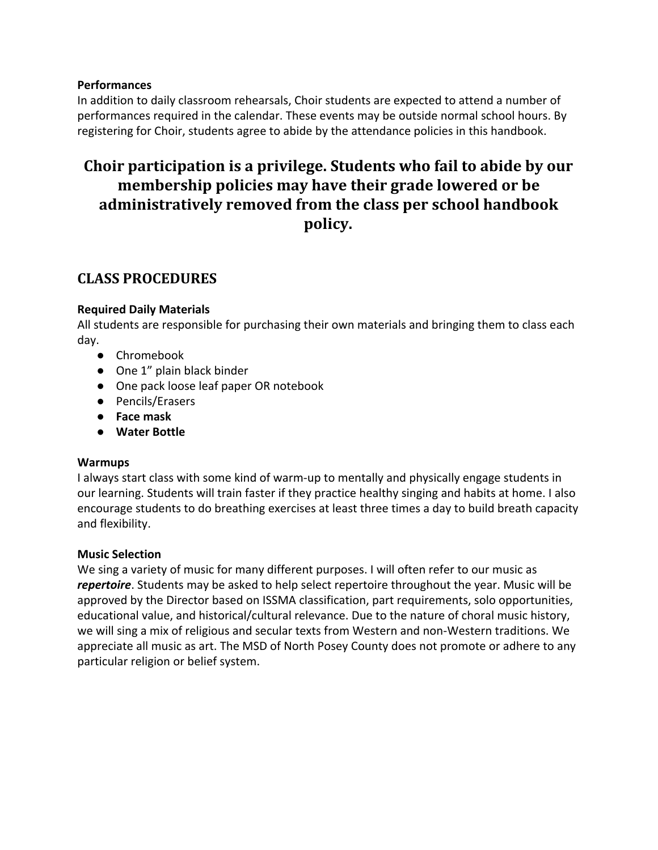#### **Performances**

In addition to daily classroom rehearsals, Choir students are expected to attend a number of performances required in the calendar. These events may be outside normal school hours. By registering for Choir, students agree to abide by the attendance policies in this handbook.

# **Choir participation is a privilege. Students who fail to abide by our membership policies may have their grade lowered or be administratively removed from the class per school handbook policy.**

# **CLASS PROCEDURES**

#### **Required Daily Materials**

All students are responsible for purchasing their own materials and bringing them to class each day.

- Chromebook
- One 1" plain black binder
- One pack loose leaf paper OR notebook
- Pencils/Erasers
- **● Face mask**
- **● Water Bottle**

#### **Warmups**

I always start class with some kind of warm-up to mentally and physically engage students in our learning. Students will train faster if they practice healthy singing and habits at home. I also encourage students to do breathing exercises at least three times a day to build breath capacity and flexibility.

#### **Music Selection**

We sing a variety of music for many different purposes. I will often refer to our music as *repertoire*. Students may be asked to help select repertoire throughout the year. Music will be approved by the Director based on ISSMA classification, part requirements, solo opportunities, educational value, and historical/cultural relevance. Due to the nature of choral music history, we will sing a mix of religious and secular texts from Western and non-Western traditions. We appreciate all music as art. The MSD of North Posey County does not promote or adhere to any particular religion or belief system.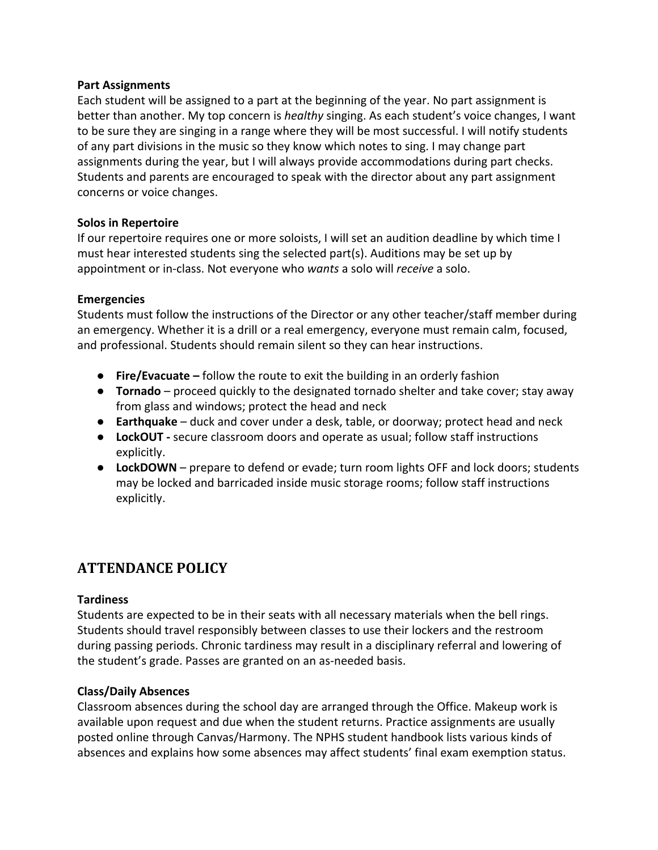#### **Part Assignments**

Each student will be assigned to a part at the beginning of the year. No part assignment is better than another. My top concern is *healthy* singing. As each student's voice changes, I want to be sure they are singing in a range where they will be most successful. I will notify students of any part divisions in the music so they know which notes to sing. I may change part assignments during the year, but I will always provide accommodations during part checks. Students and parents are encouraged to speak with the director about any part assignment concerns or voice changes.

#### **Solos in Repertoire**

If our repertoire requires one or more soloists, I will set an audition deadline by which time I must hear interested students sing the selected part(s). Auditions may be set up by appointment or in-class. Not everyone who *wants* a solo will *receive* a solo.

#### **Emergencies**

Students must follow the instructions of the Director or any other teacher/staff member during an emergency. Whether it is a drill or a real emergency, everyone must remain calm, focused, and professional. Students should remain silent so they can hear instructions.

- **Fire/Evacuate –** follow the route to exit the building in an orderly fashion
- **Tornado** proceed quickly to the designated tornado shelter and take cover; stay away from glass and windows; protect the head and neck
- **Earthquake** duck and cover under a desk, table, or doorway; protect head and neck
- **LockOUT** secure classroom doors and operate as usual; follow staff instructions explicitly.
- **LockDOWN** prepare to defend or evade; turn room lights OFF and lock doors; students may be locked and barricaded inside music storage rooms; follow staff instructions explicitly.

## **ATTENDANCE POLICY**

#### **Tardiness**

Students are expected to be in their seats with all necessary materials when the bell rings. Students should travel responsibly between classes to use their lockers and the restroom during passing periods. Chronic tardiness may result in a disciplinary referral and lowering of the student's grade. Passes are granted on an as-needed basis.

#### **Class/Daily Absences**

Classroom absences during the school day are arranged through the Office. Makeup work is available upon request and due when the student returns. Practice assignments are usually posted online through Canvas/Harmony. The NPHS student handbook lists various kinds of absences and explains how some absences may affect students' final exam exemption status.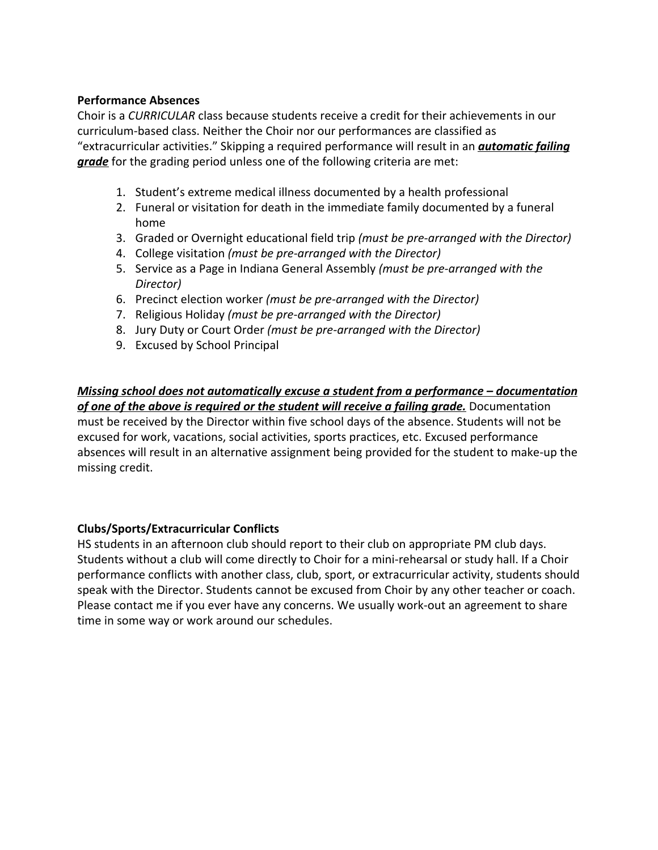#### **Performance Absences**

Choir is a *CURRICULAR* class because students receive a credit for their achievements in our curriculum-based class. Neither the Choir nor our performances are classified as "extracurricular activities." Skipping a required performance will result in an *automatic failing grade* for the grading period unless one of the following criteria are met:

- 1. Student's extreme medical illness documented by a health professional
- 2. Funeral or visitation for death in the immediate family documented by a funeral home
- 3. Graded or Overnight educational field trip *(must be pre-arranged with the Director)*
- 4. College visitation *(must be pre-arranged with the Director)*
- 5. Service as a Page in Indiana General Assembly *(must be pre-arranged with the Director)*
- 6. Precinct election worker *(must be pre-arranged with the Director)*
- 7. Religious Holiday *(must be pre-arranged with the Director)*
- 8. Jury Duty or Court Order *(must be pre-arranged with the Director)*
- 9. Excused by School Principal

*Missing school does not automatically excuse a student from a performance – documentation of one of the above is required or the student will receive a failing grade.* Documentation must be received by the Director within five school days of the absence. Students will not be excused for work, vacations, social activities, sports practices, etc. Excused performance absences will result in an alternative assignment being provided for the student to make-up the missing credit.

#### **Clubs/Sports/Extracurricular Conflicts**

HS students in an afternoon club should report to their club on appropriate PM club days. Students without a club will come directly to Choir for a mini-rehearsal or study hall. If a Choir performance conflicts with another class, club, sport, or extracurricular activity, students should speak with the Director. Students cannot be excused from Choir by any other teacher or coach. Please contact me if you ever have any concerns. We usually work-out an agreement to share time in some way or work around our schedules.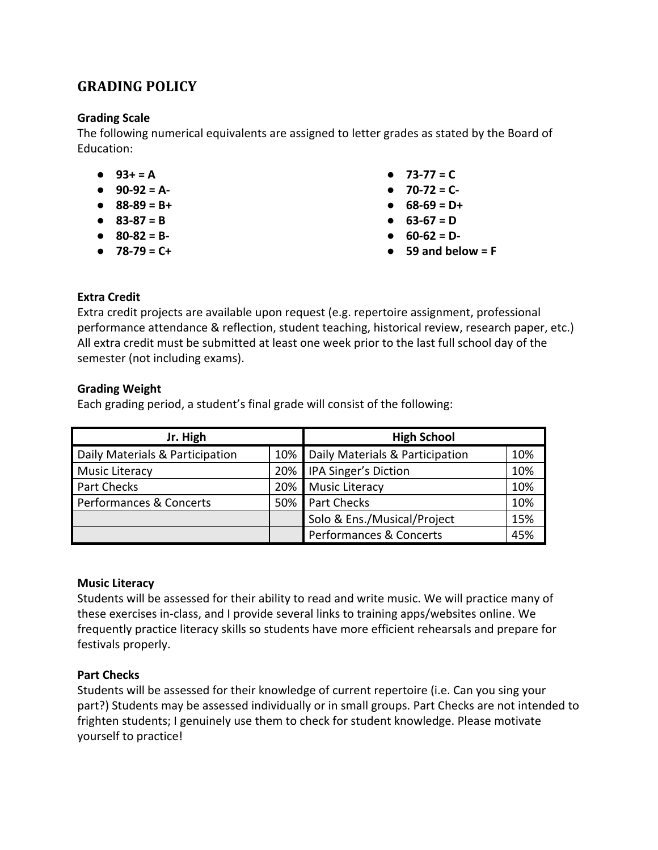# **GRADING POLICY**

#### **Grading Scale**

The following numerical equivalents are assigned to letter grades as stated by the Board of Education:

- **● 93+ = A**
- **● 90-92 = A-**
- **● 88-89 = B+**
- **● 83-87 = B**
- **● 80-82 = B-**
- **● 78-79 = C+**
- **● 73-77 = C**
- **● 70-72 = C-**
- **● 68-69 = D+**
- **● 63-67 = D**
- **● 60-62 = D-**
- **● 59 and below = F**

#### **Extra Credit**

Extra credit projects are available upon request (e.g. repertoire assignment, professional performance attendance & reflection, student teaching, historical review, research paper, etc.) All extra credit must be submitted at least one week prior to the last full school day of the semester (not including exams).

#### **Grading Weight**

Each grading period, a student's final grade will consist of the following:

| Jr. High                        |     | <b>High School</b>                 |     |
|---------------------------------|-----|------------------------------------|-----|
| Daily Materials & Participation | 10% | Daily Materials & Participation    | 10% |
| Music Literacy                  | 20% | IPA Singer's Diction               | 10% |
| <b>Part Checks</b>              | 20% | <b>Music Literacy</b>              | 10% |
| Performances & Concerts         | 50% | <b>Part Checks</b>                 | 10% |
|                                 |     | Solo & Ens./Musical/Project        | 15% |
|                                 |     | <b>Performances &amp; Concerts</b> | 45% |

#### **Music Literacy**

Students will be assessed for their ability to read and write music. We will practice many of these exercises in-class, and I provide several links to training apps/websites online. We frequently practice literacy skills so students have more efficient rehearsals and prepare for festivals properly.

#### **Part Checks**

Students will be assessed for their knowledge of current repertoire (i.e. Can you sing your part?) Students may be assessed individually or in small groups. Part Checks are not intended to frighten students; I genuinely use them to check for student knowledge. Please motivate yourself to practice!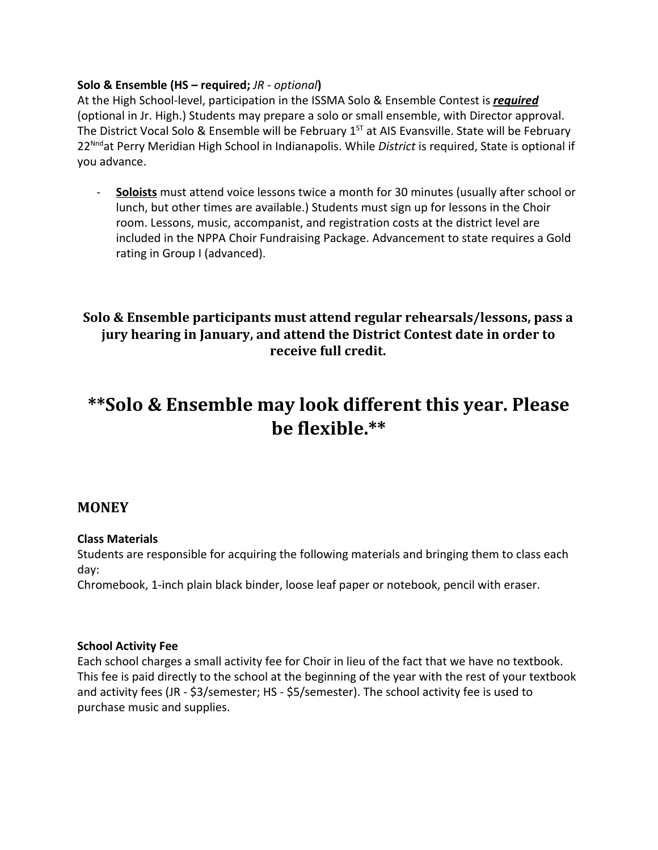#### **Solo & Ensemble (HS – required;** *JR - optional***)**

At the High School-level, participation in the ISSMA Solo & Ensemble Contest is *required* (optional in Jr. High.) Students may prepare a solo or small ensemble, with Director approval. The District Vocal Solo & Ensemble will be February 1<sup>st</sup> at AIS Evansville. State will be February 22Nndat Perry Meridian High School in Indianapolis. While *District* is required, State is optional if you advance.

- **Soloists** must attend voice lessons twice a month for 30 minutes (usually after school or lunch, but other times are available.) Students must sign up for lessons in the Choir room. Lessons, music, accompanist, and registration costs at the district level are included in the NPPA Choir Fundraising Package. Advancement to state requires a Gold rating in Group I (advanced).

# **Solo & Ensemble participants must attend regular rehearsals/lessons, pass a jury hearing in January, and attend the District Contest date in order to receive full credit.**

# **\*\*Solo & Ensemble may look different this year. Please be flexible.\*\***

### **MONEY**

#### **Class Materials**

Students are responsible for acquiring the following materials and bringing them to class each day:

Chromebook, 1-inch plain black binder, loose leaf paper or notebook, pencil with eraser.

#### **School Activity Fee**

Each school charges a small activity fee for Choir in lieu of the fact that we have no textbook. This fee is paid directly to the school at the beginning of the year with the rest of your textbook and activity fees (JR - \$3/semester; HS - \$5/semester). The school activity fee is used to purchase music and supplies.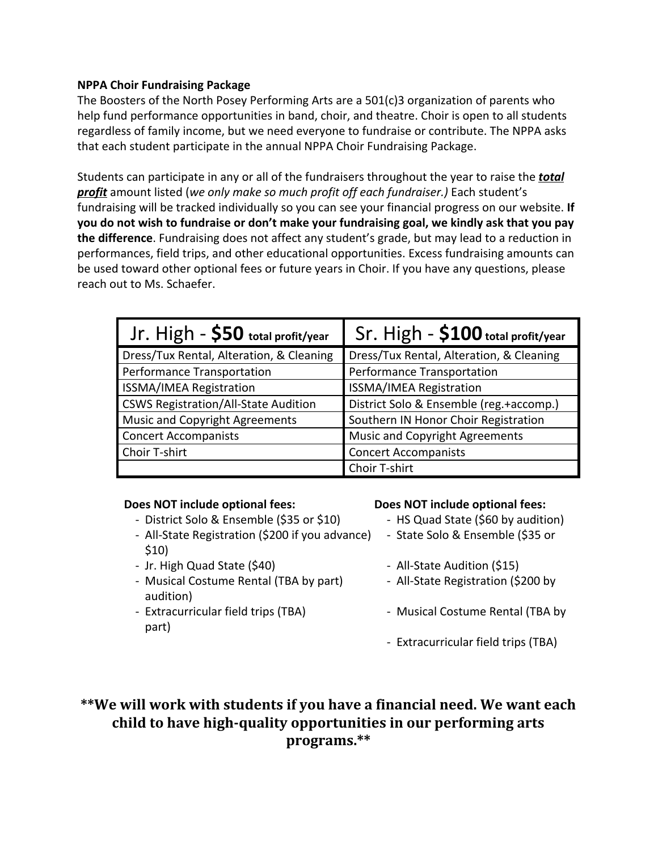#### **NPPA Choir Fundraising Package**

The Boosters of the North Posey Performing Arts are a 501(c)3 organization of parents who help fund performance opportunities in band, choir, and theatre. Choir is open to all students regardless of family income, but we need everyone to fundraise or contribute. The NPPA asks that each student participate in the annual NPPA Choir Fundraising Package.

Students can participate in any or all of the fundraisers throughout the year to raise the *total profit* amount listed (*we only make so much profit off each fundraiser.)* Each student's fundraising will be tracked individually so you can see your financial progress on our website. **If you do not wish to fundraise or don't make your fundraising goal, we kindly ask that you pay the difference**. Fundraising does not affect any student's grade, but may lead to a reduction in performances, field trips, and other educational opportunities. Excess fundraising amounts can be used toward other optional fees or future years in Choir. If you have any questions, please reach out to Ms. Schaefer.

| Jr. High - \$50 total profit/year           | $Sr.$ High $-$ \$100 total profit/year   |  |
|---------------------------------------------|------------------------------------------|--|
| Dress/Tux Rental, Alteration, & Cleaning    | Dress/Tux Rental, Alteration, & Cleaning |  |
| Performance Transportation                  | Performance Transportation               |  |
| ISSMA/IMEA Registration                     | <b>ISSMA/IMEA Registration</b>           |  |
| <b>CSWS Registration/All-State Audition</b> | District Solo & Ensemble (reg.+accomp.)  |  |
| Music and Copyright Agreements              | Southern IN Honor Choir Registration     |  |
| <b>Concert Accompanists</b>                 | <b>Music and Copyright Agreements</b>    |  |
| Choir T-shirt                               | <b>Concert Accompanists</b>              |  |
|                                             | Choir T-shirt                            |  |

#### **Does NOT include optional fees: Does NOT include optional fees:**

- District Solo & Ensemble (\$35 or \$10) HS Quad State (\$60 by audition)
- All-State Registration (\$200 if you advance) State Solo & Ensemble (\$35 or \$10)
- Jr. High Quad State (\$40) All-State Audition (\$15)
- Musical Costume Rental (TBA by part) All-State Registration (\$200 by audition)
- part)

- 
- 
- 
- 
- Extracurricular field trips (TBA) Musical Costume Rental (TBA by
	- Extracurricular field trips (TBA)

**\*\*We will work with students if you have a financial need. We want each child to have high-quality opportunities in our performing arts programs.\*\***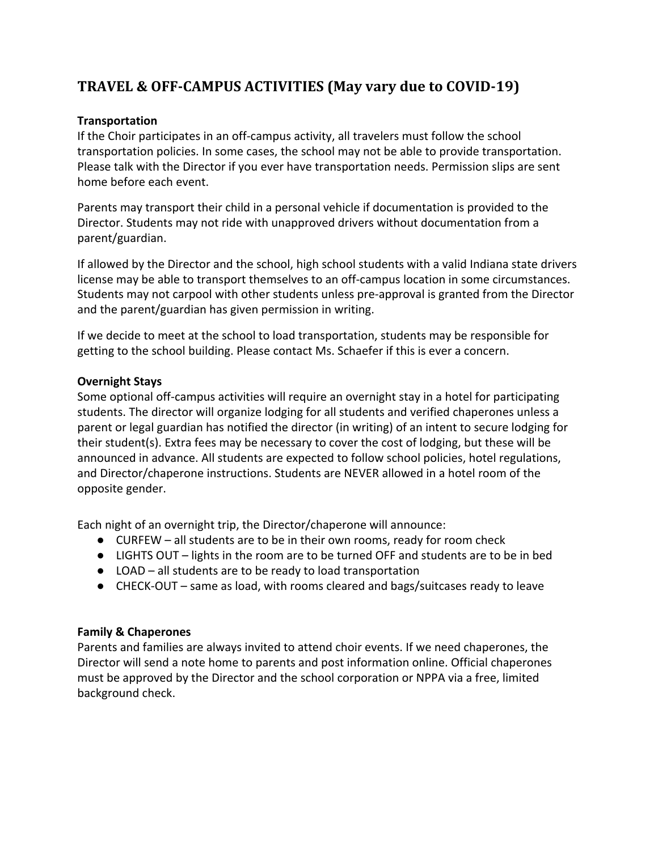# **TRAVEL & OFF-CAMPUS ACTIVITIES (May vary due to COVID-19)**

#### **Transportation**

If the Choir participates in an off-campus activity, all travelers must follow the school transportation policies. In some cases, the school may not be able to provide transportation. Please talk with the Director if you ever have transportation needs. Permission slips are sent home before each event.

Parents may transport their child in a personal vehicle if documentation is provided to the Director. Students may not ride with unapproved drivers without documentation from a parent/guardian.

If allowed by the Director and the school, high school students with a valid Indiana state drivers license may be able to transport themselves to an off-campus location in some circumstances. Students may not carpool with other students unless pre-approval is granted from the Director and the parent/guardian has given permission in writing.

If we decide to meet at the school to load transportation, students may be responsible for getting to the school building. Please contact Ms. Schaefer if this is ever a concern.

#### **Overnight Stays**

Some optional off-campus activities will require an overnight stay in a hotel for participating students. The director will organize lodging for all students and verified chaperones unless a parent or legal guardian has notified the director (in writing) of an intent to secure lodging for their student(s). Extra fees may be necessary to cover the cost of lodging, but these will be announced in advance. All students are expected to follow school policies, hotel regulations, and Director/chaperone instructions. Students are NEVER allowed in a hotel room of the opposite gender.

Each night of an overnight trip, the Director/chaperone will announce:

- CURFEW all students are to be in their own rooms, ready for room check
- LIGHTS OUT lights in the room are to be turned OFF and students are to be in bed
- LOAD all students are to be ready to load transportation
- CHECK-OUT same as load, with rooms cleared and bags/suitcases ready to leave

#### **Family & Chaperones**

Parents and families are always invited to attend choir events. If we need chaperones, the Director will send a note home to parents and post information online. Official chaperones must be approved by the Director and the school corporation or NPPA via a free, limited background check.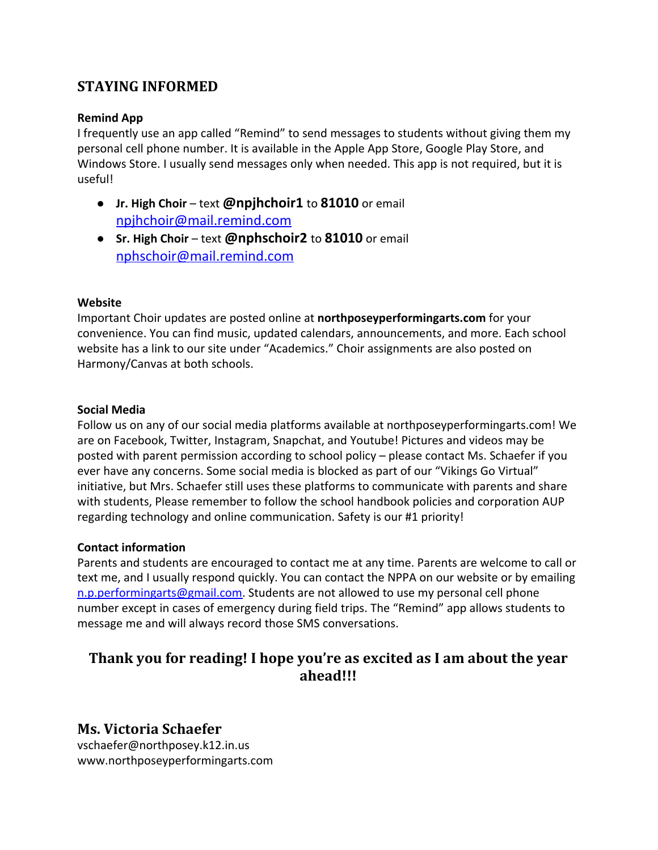# **STAYING INFORMED**

#### **Remind App**

I frequently use an app called "Remind" to send messages to students without giving them my personal cell phone number. It is available in the Apple App Store, Google Play Store, and Windows Store. I usually send messages only when needed. This app is not required, but it is useful!

- **Jr. High Choir** text **@npjhchoir1** to **81010** or email [npjhchoir@mail.remind.com](mailto:npjhchoir@mail.remind.com)
- **Sr. High Choir** text **@nphschoir2** to **81010** or email [nphschoir@mail.remind.com](mailto:nphschoir@mail.remind.com)

#### **Website**

Important Choir updates are posted online at **northposeyperformingarts.com** for your convenience. You can find music, updated calendars, announcements, and more. Each school website has a link to our site under "Academics." Choir assignments are also posted on Harmony/Canvas at both schools.

#### **Social Media**

Follow us on any of our social media platforms available at northposeyperformingarts.com! We are on Facebook, Twitter, Instagram, Snapchat, and Youtube! Pictures and videos may be posted with parent permission according to school policy – please contact Ms. Schaefer if you ever have any concerns. Some social media is blocked as part of our "Vikings Go Virtual" initiative, but Mrs. Schaefer still uses these platforms to communicate with parents and share with students, Please remember to follow the school handbook policies and corporation AUP regarding technology and online communication. Safety is our #1 priority!

#### **Contact information**

Parents and students are encouraged to contact me at any time. Parents are welcome to call or text me, and I usually respond quickly. You can contact the NPPA on our website or by emailing [n.p.performingarts@gmail.com.](mailto:n.p.performingarts@gmail.com) Students are not allowed to use my personal cell phone number except in cases of emergency during field trips. The "Remind" app allows students to message me and will always record those SMS conversations.

# **Thank you for reading! I hope you're as excited as I am about the year ahead!!!**

### **Ms. Victoria Schaefer**

vschaefer@northposey.k12.in.us www.northposeyperformingarts.com